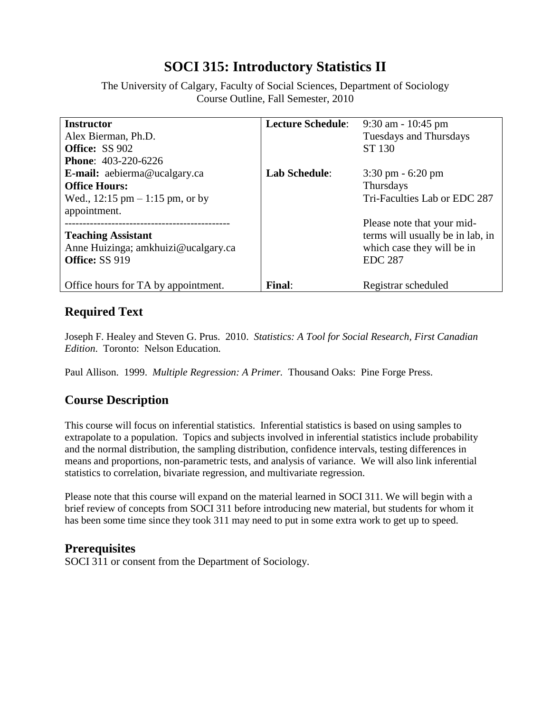# **SOCI 315: Introductory Statistics II**

The University of Calgary, Faculty of Social Sciences, Department of Sociology Course Outline, Fall Semester, 2010

| <b>Instructor</b>                                  | <b>Lecture Schedule:</b> | $9:30$ am - 10:45 pm                |
|----------------------------------------------------|--------------------------|-------------------------------------|
| Alex Bierman, Ph.D.                                |                          | Tuesdays and Thursdays              |
| <b>Office: SS 902</b>                              |                          | ST 130                              |
| <b>Phone: 403-220-6226</b>                         |                          |                                     |
| <b>E-mail:</b> aebierma@ucalgary.ca                | <b>Lab Schedule:</b>     | $3:30 \text{ pm} - 6:20 \text{ pm}$ |
| <b>Office Hours:</b>                               |                          | Thursdays                           |
| Wed., $12:15 \text{ pm} - 1:15 \text{ pm}$ , or by |                          | Tri-Faculties Lab or EDC 287        |
| appointment.                                       |                          |                                     |
|                                                    |                          | Please note that your mid-          |
| <b>Teaching Assistant</b>                          |                          | terms will usually be in lab, in    |
| Anne Huizinga; amkhuizi@ucalgary.ca                |                          | which case they will be in          |
| Office: SS 919                                     |                          | <b>EDC 287</b>                      |
|                                                    |                          |                                     |
| Office hours for TA by appointment.                | Final:                   | Registrar scheduled                 |

## **Required Text**

Joseph F. Healey and Steven G. Prus. 2010. *Statistics: A Tool for Social Research, First Canadian Edition*. Toronto: Nelson Education.

Paul Allison. 1999. *Multiple Regression: A Primer.* Thousand Oaks: Pine Forge Press.

# **Course Description**

This course will focus on inferential statistics. Inferential statistics is based on using samples to extrapolate to a population. Topics and subjects involved in inferential statistics include probability and the normal distribution, the sampling distribution, confidence intervals, testing differences in means and proportions, non-parametric tests, and analysis of variance. We will also link inferential statistics to correlation, bivariate regression, and multivariate regression.

Please note that this course will expand on the material learned in SOCI 311. We will begin with a brief review of concepts from SOCI 311 before introducing new material, but students for whom it has been some time since they took 311 may need to put in some extra work to get up to speed.

#### **Prerequisites**

SOCI 311 or consent from the Department of Sociology.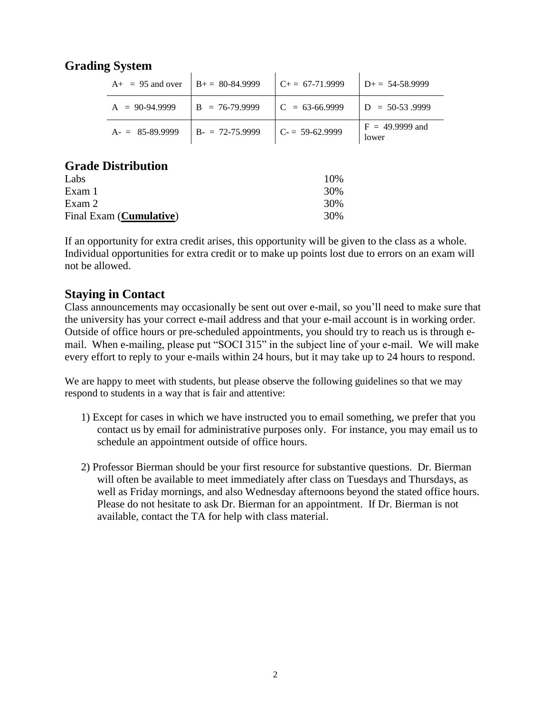### **Grading System**

| $A_{+}$ = 95 and over | $B_{+} = 80 - 84.9999$ | $C_{+} = 67-71.9999$ | $D_{+} = 54 - 58.9999$     |
|-----------------------|------------------------|----------------------|----------------------------|
| $A = 90-94.9999$      | $B = 76-79.9999$       | $C = 63-66.9999$     | $D = 50-53.9999$           |
| $A = 85-89.9999$      | $B - 72 - 75.9999$     | $C = 59-62.9999$     | $F = 49.9999$ and<br>lower |

#### **Grade Distribution**

| Labs                             | 10% |
|----------------------------------|-----|
| Exam 1                           | 30% |
| Exam 2                           | 30% |
| Final Exam ( <b>Cumulative</b> ) | 30% |

If an opportunity for extra credit arises, this opportunity will be given to the class as a whole. Individual opportunities for extra credit or to make up points lost due to errors on an exam will not be allowed.

#### **Staying in Contact**

Class announcements may occasionally be sent out over e-mail, so you'll need to make sure that the university has your correct e-mail address and that your e-mail account is in working order. Outside of office hours or pre-scheduled appointments, you should try to reach us is through email. When e-mailing, please put "SOCI 315" in the subject line of your e-mail. We will make every effort to reply to your e-mails within 24 hours, but it may take up to 24 hours to respond.

We are happy to meet with students, but please observe the following guidelines so that we may respond to students in a way that is fair and attentive:

- 1) Except for cases in which we have instructed you to email something, we prefer that you contact us by email for administrative purposes only. For instance, you may email us to schedule an appointment outside of office hours.
- 2) Professor Bierman should be your first resource for substantive questions. Dr. Bierman will often be available to meet immediately after class on Tuesdays and Thursdays, as well as Friday mornings, and also Wednesday afternoons beyond the stated office hours. Please do not hesitate to ask Dr. Bierman for an appointment. If Dr. Bierman is not available, contact the TA for help with class material.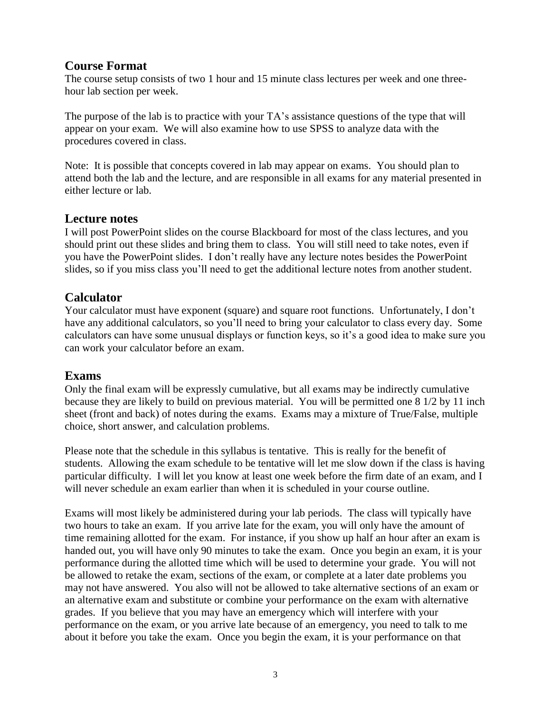#### **Course Format**

The course setup consists of two 1 hour and 15 minute class lectures per week and one threehour lab section per week.

The purpose of the lab is to practice with your TA's assistance questions of the type that will appear on your exam. We will also examine how to use SPSS to analyze data with the procedures covered in class.

Note: It is possible that concepts covered in lab may appear on exams. You should plan to attend both the lab and the lecture, and are responsible in all exams for any material presented in either lecture or lab.

#### **Lecture notes**

I will post PowerPoint slides on the course Blackboard for most of the class lectures, and you should print out these slides and bring them to class. You will still need to take notes, even if you have the PowerPoint slides. I don't really have any lecture notes besides the PowerPoint slides, so if you miss class you'll need to get the additional lecture notes from another student.

#### **Calculator**

Your calculator must have exponent (square) and square root functions. Unfortunately, I don't have any additional calculators, so you'll need to bring your calculator to class every day. Some calculators can have some unusual displays or function keys, so it's a good idea to make sure you can work your calculator before an exam.

#### **Exams**

Only the final exam will be expressly cumulative, but all exams may be indirectly cumulative because they are likely to build on previous material. You will be permitted one 8 1/2 by 11 inch sheet (front and back) of notes during the exams. Exams may a mixture of True/False, multiple choice, short answer, and calculation problems.

Please note that the schedule in this syllabus is tentative. This is really for the benefit of students. Allowing the exam schedule to be tentative will let me slow down if the class is having particular difficulty. I will let you know at least one week before the firm date of an exam, and I will never schedule an exam earlier than when it is scheduled in your course outline.

Exams will most likely be administered during your lab periods. The class will typically have two hours to take an exam. If you arrive late for the exam, you will only have the amount of time remaining allotted for the exam. For instance, if you show up half an hour after an exam is handed out, you will have only 90 minutes to take the exam. Once you begin an exam, it is your performance during the allotted time which will be used to determine your grade. You will not be allowed to retake the exam, sections of the exam, or complete at a later date problems you may not have answered. You also will not be allowed to take alternative sections of an exam or an alternative exam and substitute or combine your performance on the exam with alternative grades. If you believe that you may have an emergency which will interfere with your performance on the exam, or you arrive late because of an emergency, you need to talk to me about it before you take the exam. Once you begin the exam, it is your performance on that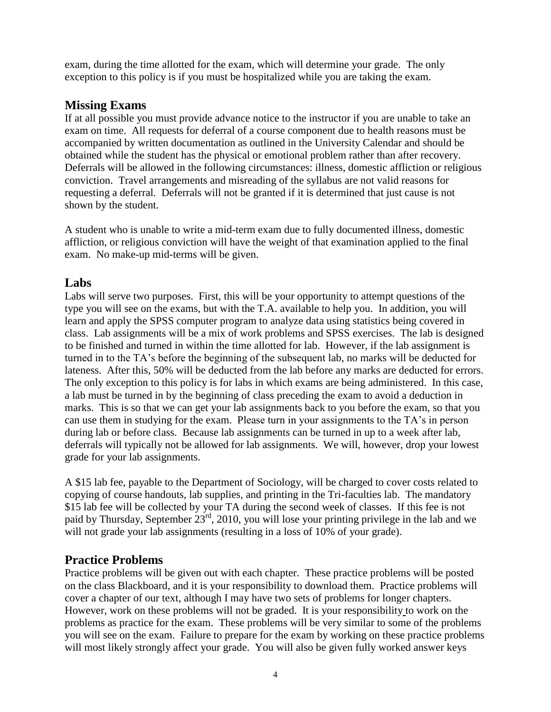exam, during the time allotted for the exam, which will determine your grade. The only exception to this policy is if you must be hospitalized while you are taking the exam.

### **Missing Exams**

If at all possible you must provide advance notice to the instructor if you are unable to take an exam on time. All requests for deferral of a course component due to health reasons must be accompanied by written documentation as outlined in the University Calendar and should be obtained while the student has the physical or emotional problem rather than after recovery. Deferrals will be allowed in the following circumstances: illness, domestic affliction or religious conviction. Travel arrangements and misreading of the syllabus are not valid reasons for requesting a deferral. Deferrals will not be granted if it is determined that just cause is not shown by the student.

A student who is unable to write a mid-term exam due to fully documented illness, domestic affliction, or religious conviction will have the weight of that examination applied to the final exam. No make-up mid-terms will be given.

### **Labs**

Labs will serve two purposes. First, this will be your opportunity to attempt questions of the type you will see on the exams, but with the T.A. available to help you. In addition, you will learn and apply the SPSS computer program to analyze data using statistics being covered in class. Lab assignments will be a mix of work problems and SPSS exercises. The lab is designed to be finished and turned in within the time allotted for lab. However, if the lab assignment is turned in to the TA's before the beginning of the subsequent lab, no marks will be deducted for lateness. After this, 50% will be deducted from the lab before any marks are deducted for errors. The only exception to this policy is for labs in which exams are being administered. In this case, a lab must be turned in by the beginning of class preceding the exam to avoid a deduction in marks. This is so that we can get your lab assignments back to you before the exam, so that you can use them in studying for the exam. Please turn in your assignments to the TA's in person during lab or before class. Because lab assignments can be turned in up to a week after lab, deferrals will typically not be allowed for lab assignments. We will, however, drop your lowest grade for your lab assignments.

A \$15 lab fee, payable to the Department of Sociology, will be charged to cover costs related to copying of course handouts, lab supplies, and printing in the Tri-faculties lab. The mandatory \$15 lab fee will be collected by your TA during the second week of classes. If this fee is not paid by Thursday, September 23rd, 2010, you will lose your printing privilege in the lab and we will not grade your lab assignments (resulting in a loss of 10% of your grade).

### **Practice Problems**

Practice problems will be given out with each chapter. These practice problems will be posted on the class Blackboard, and it is your responsibility to download them. Practice problems will cover a chapter of our text, although I may have two sets of problems for longer chapters. However, work on these problems will not be graded. It is your responsibility to work on the problems as practice for the exam. These problems will be very similar to some of the problems you will see on the exam. Failure to prepare for the exam by working on these practice problems will most likely strongly affect your grade. You will also be given fully worked answer keys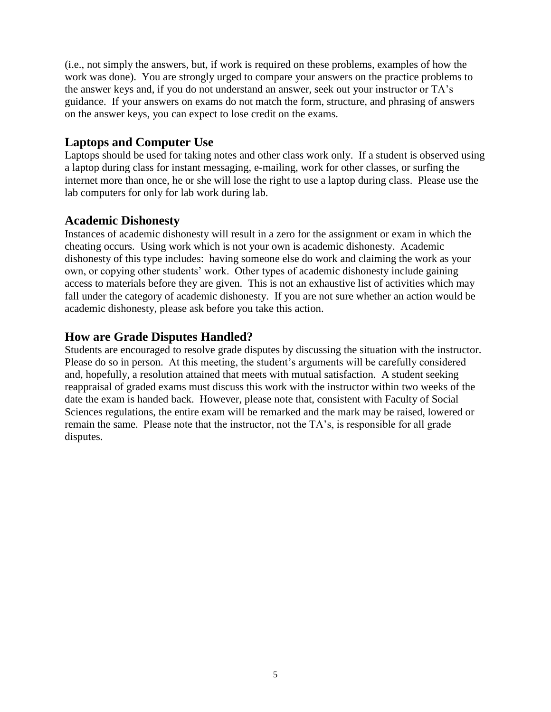(i.e., not simply the answers, but, if work is required on these problems, examples of how the work was done). You are strongly urged to compare your answers on the practice problems to the answer keys and, if you do not understand an answer, seek out your instructor or TA's guidance. If your answers on exams do not match the form, structure, and phrasing of answers on the answer keys, you can expect to lose credit on the exams.

#### **Laptops and Computer Use**

Laptops should be used for taking notes and other class work only. If a student is observed using a laptop during class for instant messaging, e-mailing, work for other classes, or surfing the internet more than once, he or she will lose the right to use a laptop during class. Please use the lab computers for only for lab work during lab.

#### **Academic Dishonesty**

Instances of academic dishonesty will result in a zero for the assignment or exam in which the cheating occurs. Using work which is not your own is academic dishonesty. Academic dishonesty of this type includes: having someone else do work and claiming the work as your own, or copying other students' work. Other types of academic dishonesty include gaining access to materials before they are given. This is not an exhaustive list of activities which may fall under the category of academic dishonesty. If you are not sure whether an action would be academic dishonesty, please ask before you take this action.

### **How are Grade Disputes Handled?**

Students are encouraged to resolve grade disputes by discussing the situation with the instructor. Please do so in person. At this meeting, the student's arguments will be carefully considered and, hopefully, a resolution attained that meets with mutual satisfaction. A student seeking reappraisal of graded exams must discuss this work with the instructor within two weeks of the date the exam is handed back. However, please note that, consistent with Faculty of Social Sciences regulations, the entire exam will be remarked and the mark may be raised, lowered or remain the same. Please note that the instructor, not the TA's, is responsible for all grade disputes.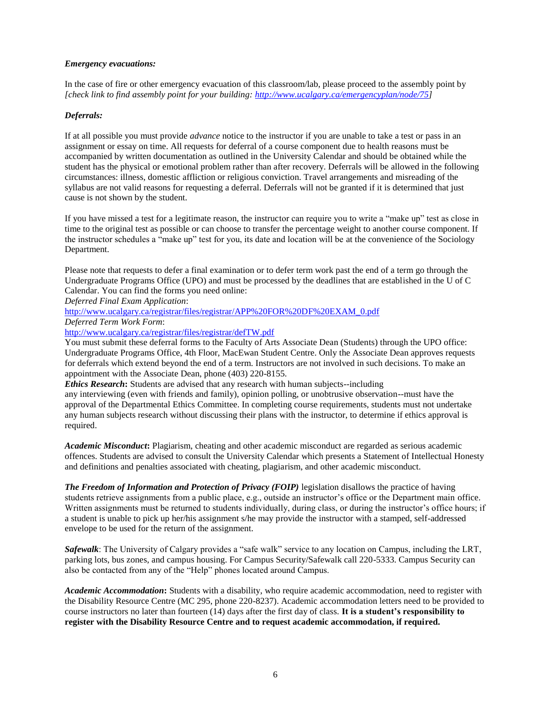#### *Emergency evacuations:*

In the case of fire or other emergency evacuation of this classroom/lab, please proceed to the assembly point by *[check link to find assembly point for your building: [http://www.ucalgary.ca/emergencyplan/node/75\]](http://www.ucalgary.ca/emergencyplan/node/75)*

#### *Deferrals:*

If at all possible you must provide *advance* notice to the instructor if you are unable to take a test or pass in an assignment or essay on time. All requests for deferral of a course component due to health reasons must be accompanied by written documentation as outlined in the University Calendar and should be obtained while the student has the physical or emotional problem rather than after recovery. Deferrals will be allowed in the following circumstances: illness, domestic affliction or religious conviction. Travel arrangements and misreading of the syllabus are not valid reasons for requesting a deferral. Deferrals will not be granted if it is determined that just cause is not shown by the student.

If you have missed a test for a legitimate reason, the instructor can require you to write a "make up" test as close in time to the original test as possible or can choose to transfer the percentage weight to another course component. If the instructor schedules a "make up" test for you, its date and location will be at the convenience of the Sociology Department.

Please note that requests to defer a final examination or to defer term work past the end of a term go through the Undergraduate Programs Office (UPO) and must be processed by the deadlines that are established in the U of C Calendar. You can find the forms you need online:

*Deferred Final Exam Application*:

[http://www.ucalgary.ca/registrar/files/registrar/APP%20FOR%20DF%20EXAM\\_0.pdf](http://www.ucalgary.ca/registrar/files/registrar/APP%20FOR%20DF%20EXAM_0.pdf)

*Deferred Term Work Form*:

<http://www.ucalgary.ca/registrar/files/registrar/defTW.pdf>

You must submit these deferral forms to the Faculty of Arts Associate Dean (Students) through the UPO office: Undergraduate Programs Office, 4th Floor, MacEwan Student Centre. Only the Associate Dean approves requests for deferrals which extend beyond the end of a term. Instructors are not involved in such decisions. To make an appointment with the Associate Dean, phone (403) 220-8155.

*Ethics Research***:** Students are advised that any research with human subjects--including any interviewing (even with friends and family), opinion polling, or unobtrusive observation--must have the approval of the Departmental Ethics Committee. In completing course requirements, students must not undertake any human subjects research without discussing their plans with the instructor, to determine if ethics approval is required.

*Academic Misconduct***:** Plagiarism, cheating and other academic misconduct are regarded as serious academic offences. Students are advised to consult the University Calendar which presents a Statement of Intellectual Honesty and definitions and penalties associated with cheating, plagiarism, and other academic misconduct.

*The Freedom of Information and Protection of Privacy (FOIP)* legislation disallows the practice of having students retrieve assignments from a public place, e.g., outside an instructor's office or the Department main office. Written assignments must be returned to students individually, during class, or during the instructor's office hours; if a student is unable to pick up her/his assignment s/he may provide the instructor with a stamped, self-addressed envelope to be used for the return of the assignment.

*Safewalk*: The University of Calgary provides a "safe walk" service to any location on Campus, including the LRT, parking lots, bus zones, and campus housing. For Campus Security/Safewalk call 220-5333. Campus Security can also be contacted from any of the "Help" phones located around Campus.

*Academic Accommodation***:** Students with a disability, who require academic accommodation, need to register with the Disability Resource Centre (MC 295, phone 220-8237). Academic accommodation letters need to be provided to course instructors no later than fourteen (14) days after the first day of class. **It is a student's responsibility to register with the Disability Resource Centre and to request academic accommodation, if required.**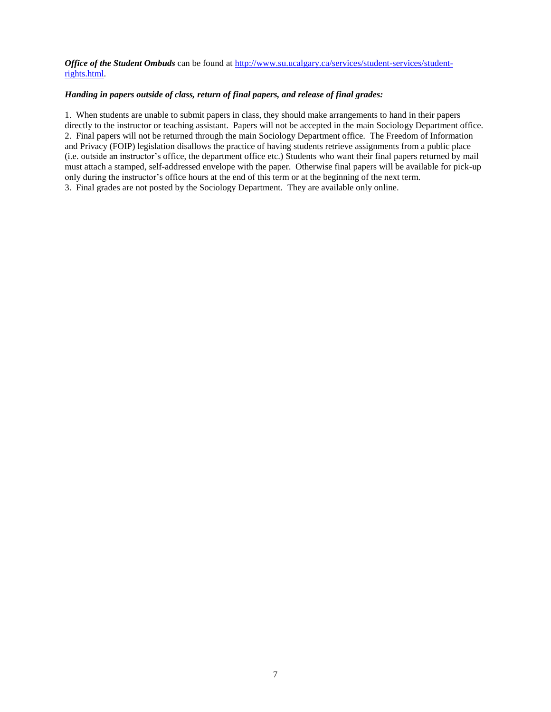*Office of the Student Ombuds* can be found at [http://www.su.ucalgary.ca/services/student-services/student](http://www.su.ucalgary.ca/services/student-services/student-rights.html)[rights.html.](http://www.su.ucalgary.ca/services/student-services/student-rights.html)

#### *Handing in papers outside of class, return of final papers, and release of final grades:*

1. When students are unable to submit papers in class, they should make arrangements to hand in their papers directly to the instructor or teaching assistant. Papers will not be accepted in the main Sociology Department office. 2. Final papers will not be returned through the main Sociology Department office. The Freedom of Information and Privacy (FOIP) legislation disallows the practice of having students retrieve assignments from a public place (i.e. outside an instructor's office, the department office etc.) Students who want their final papers returned by mail must attach a stamped, self-addressed envelope with the paper. Otherwise final papers will be available for pick-up only during the instructor's office hours at the end of this term or at the beginning of the next term. 3. Final grades are not posted by the Sociology Department. They are available only online.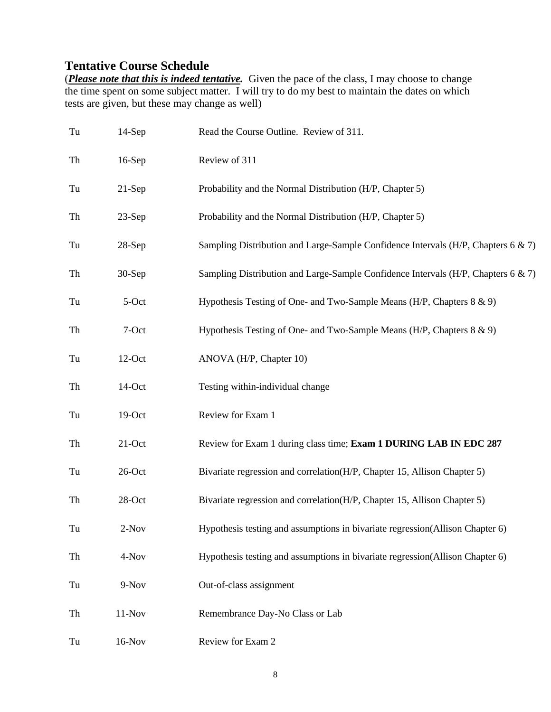# **Tentative Course Schedule**

(*Please note that this is indeed tentative.* Given the pace of the class, I may choose to change the time spent on some subject matter. I will try to do my best to maintain the dates on which tests are given, but these may change as well)

| Tu | $14-Sep$  | Read the Course Outline. Review of 311.                                           |
|----|-----------|-----------------------------------------------------------------------------------|
| Th | $16-Sep$  | Review of 311                                                                     |
| Tu | $21-Sep$  | Probability and the Normal Distribution (H/P, Chapter 5)                          |
| Th | $23-Sep$  | Probability and the Normal Distribution (H/P, Chapter 5)                          |
| Tu | $28-Sep$  | Sampling Distribution and Large-Sample Confidence Intervals (H/P, Chapters 6 & 7) |
| Th | $30-Sep$  | Sampling Distribution and Large-Sample Confidence Intervals (H/P, Chapters 6 & 7) |
| Tu | 5-Oct     | Hypothesis Testing of One- and Two-Sample Means (H/P, Chapters 8 & 9)             |
| Th | 7-Oct     | Hypothesis Testing of One- and Two-Sample Means (H/P, Chapters 8 & 9)             |
| Tu | 12-Oct    | ANOVA (H/P, Chapter 10)                                                           |
| Th | 14-Oct    | Testing within-individual change                                                  |
| Tu | $19-Oct$  | Review for Exam 1                                                                 |
| Th | $21$ -Oct | Review for Exam 1 during class time; Exam 1 DURING LAB IN EDC 287                 |
| Tu | $26$ -Oct | Bivariate regression and correlation(H/P, Chapter 15, Allison Chapter 5)          |
| Th | 28-Oct    | Bivariate regression and correlation(H/P, Chapter 15, Allison Chapter 5)          |
| Tu | $2-Nov$   | Hypothesis testing and assumptions in bivariate regression(Allison Chapter 6)     |
| Th | 4-Nov     | Hypothesis testing and assumptions in bivariate regression(Allison Chapter 6)     |
| Tu | 9-Nov     | Out-of-class assignment                                                           |
| Th | $11-Nov$  | Remembrance Day-No Class or Lab                                                   |
| Tu | $16-Nov$  | Review for Exam 2                                                                 |